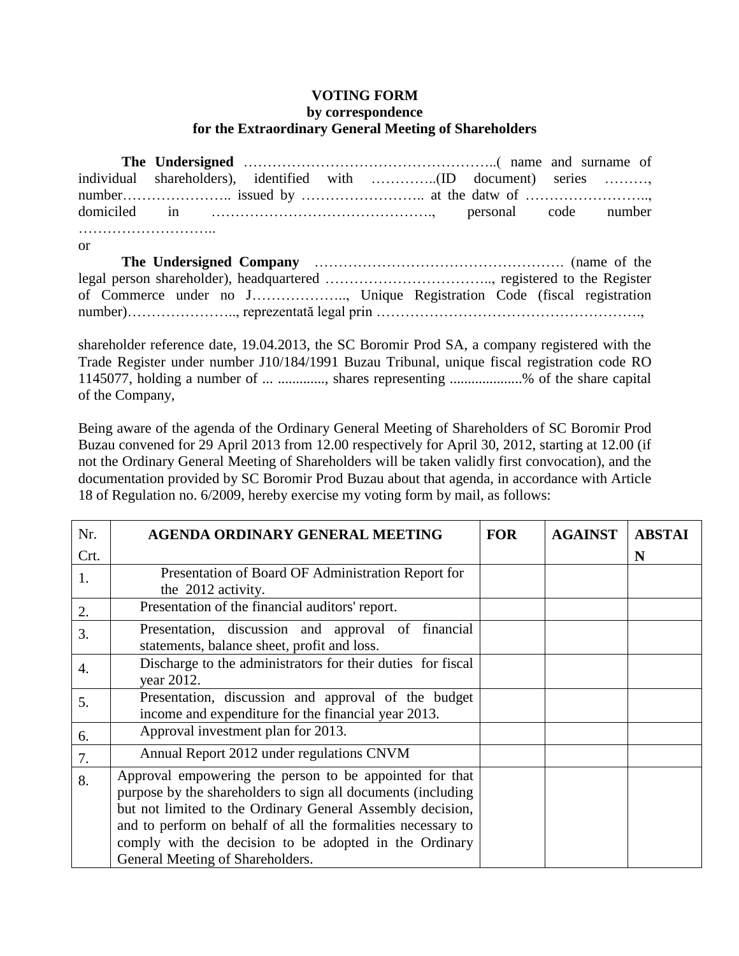## **VOTING FORM**

## **by correspondence for the Extraordinary General Meeting of Shareholders**

| or |  |  |  |  |
|----|--|--|--|--|
|    |  |  |  |  |
|    |  |  |  |  |
|    |  |  |  |  |
|    |  |  |  |  |
|    |  |  |  |  |

shareholder reference date, 19.04.2013, the SC Boromir Prod SA, a company registered with the Trade Register under number J10/184/1991 Buzau Tribunal, unique fiscal registration code RO 1145077, holding a number of ... ............., shares representing ....................% of the share capital of the Company,

Being aware of the agenda of the Ordinary General Meeting of Shareholders of SC Boromir Prod Buzau convened for 29 April 2013 from 12.00 respectively for April 30, 2012, starting at 12.00 (if not the Ordinary General Meeting of Shareholders will be taken validly first convocation), and the documentation provided by SC Boromir Prod Buzau about that agenda, in accordance with Article 18 of Regulation no. 6/2009, hereby exercise my voting form by mail, as follows:

| Nr.  | <b>AGENDA ORDINARY GENERAL MEETING</b>                                                                                                                                                                                                                                                                                                              | <b>FOR</b> | <b>AGAINST</b> | <b>ABSTAI</b> |
|------|-----------------------------------------------------------------------------------------------------------------------------------------------------------------------------------------------------------------------------------------------------------------------------------------------------------------------------------------------------|------------|----------------|---------------|
| Crt. |                                                                                                                                                                                                                                                                                                                                                     |            |                | N             |
| 1.   | Presentation of Board OF Administration Report for<br>the 2012 activity.                                                                                                                                                                                                                                                                            |            |                |               |
| 2.   | Presentation of the financial auditors' report.                                                                                                                                                                                                                                                                                                     |            |                |               |
| 3.   | Presentation, discussion and approval of financial<br>statements, balance sheet, profit and loss.                                                                                                                                                                                                                                                   |            |                |               |
| 4.   | Discharge to the administrators for their duties for fiscal<br>year 2012.                                                                                                                                                                                                                                                                           |            |                |               |
| 5.   | Presentation, discussion and approval of the budget<br>income and expenditure for the financial year 2013.                                                                                                                                                                                                                                          |            |                |               |
| 6.   | Approval investment plan for 2013.                                                                                                                                                                                                                                                                                                                  |            |                |               |
| 7.   | Annual Report 2012 under regulations CNVM                                                                                                                                                                                                                                                                                                           |            |                |               |
| 8.   | Approval empowering the person to be appointed for that<br>purpose by the shareholders to sign all documents (including<br>but not limited to the Ordinary General Assembly decision,<br>and to perform on behalf of all the formalities necessary to<br>comply with the decision to be adopted in the Ordinary<br>General Meeting of Shareholders. |            |                |               |